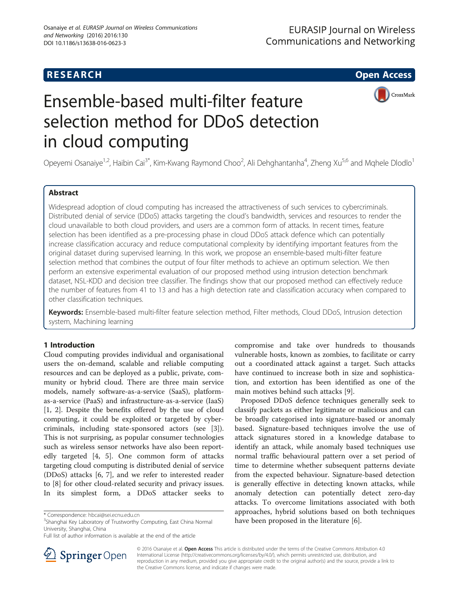# **RESEARCH CHE Open Access**



# Ensemble-based multi-filter feature selection method for DDoS detection in cloud computing

Opeyemi Osanaiye<sup>1,2</sup>, Haibin Cai<sup>3\*</sup>, Kim-Kwang Raymond Choo<sup>2</sup>, Ali Dehghantanha<sup>4</sup>, Zheng Xu<sup>5,6</sup> and Mqhele Dlodlo<sup>1</sup>

# Abstract

Widespread adoption of cloud computing has increased the attractiveness of such services to cybercriminals. Distributed denial of service (DDoS) attacks targeting the cloud's bandwidth, services and resources to render the cloud unavailable to both cloud providers, and users are a common form of attacks. In recent times, feature selection has been identified as a pre-processing phase in cloud DDoS attack defence which can potentially increase classification accuracy and reduce computational complexity by identifying important features from the original dataset during supervised learning. In this work, we propose an ensemble-based multi-filter feature selection method that combines the output of four filter methods to achieve an optimum selection. We then perform an extensive experimental evaluation of our proposed method using intrusion detection benchmark dataset, NSL-KDD and decision tree classifier. The findings show that our proposed method can effectively reduce the number of features from 41 to 13 and has a high detection rate and classification accuracy when compared to other classification techniques.

Keywords: Ensemble-based multi-filter feature selection method, Filter methods, Cloud DDoS, Intrusion detection system, Machining learning

# 1 Introduction

Cloud computing provides individual and organisational users the on-demand, scalable and reliable computing resources and can be deployed as a public, private, community or hybrid cloud. There are three main service models, namely software-as-a-service (SaaS), platformas-a-service (PaaS) and infrastructure-as-a-service (IaaS) [[1, 2](#page-8-0)]. Despite the benefits offered by the use of cloud computing, it could be exploited or targeted by cybercriminals, including state-sponsored actors (see [\[3](#page-8-0)]). This is not surprising, as popular consumer technologies such as wireless sensor networks have also been reportedly targeted [[4, 5\]](#page-8-0). One common form of attacks targeting cloud computing is distributed denial of service (DDoS) attacks [[6, 7\]](#page-9-0), and we refer to interested reader to [\[8](#page-9-0)] for other cloud-related security and privacy issues. In its simplest form, a DDoS attacker seeks to

University, Shanghai, China

compromise and take over hundreds to thousands vulnerable hosts, known as zombies, to facilitate or carry out a coordinated attack against a target. Such attacks have continued to increase both in size and sophistication, and extortion has been identified as one of the main motives behind such attacks [\[9\]](#page-9-0).

Proposed DDoS defence techniques generally seek to classify packets as either legitimate or malicious and can be broadly categorised into signature-based or anomaly based. Signature-based techniques involve the use of attack signatures stored in a knowledge database to identify an attack, while anomaly based techniques use normal traffic behavioural pattern over a set period of time to determine whether subsequent patterns deviate from the expected behaviour. Signature-based detection is generally effective in detecting known attacks, while anomaly detection can potentially detect zero-day attacks. To overcome limitations associated with both approaches, hybrid solutions based on both techniques \* Correspondence: [hbcai@sei.ecnu.edu.cn](mailto:hbcai@sei.ecnu.edu.cn)<br>3Shanghai Key Laboratory of Trustworthy Computing, East China Normal **have been proposed in the literature** [\[6](#page-9-0)].



© 2016 Osanaiye et al. Open Access This article is distributed under the terms of the Creative Commons Attribution 4.0 International License ([http://creativecommons.org/licenses/by/4.0/\)](http://creativecommons.org/licenses/by/4.0/), which permits unrestricted use, distribution, and reproduction in any medium, provided you give appropriate credit to the original author(s) and the source, provide a link to the Creative Commons license, and indicate if changes were made.

Full list of author information is available at the end of the article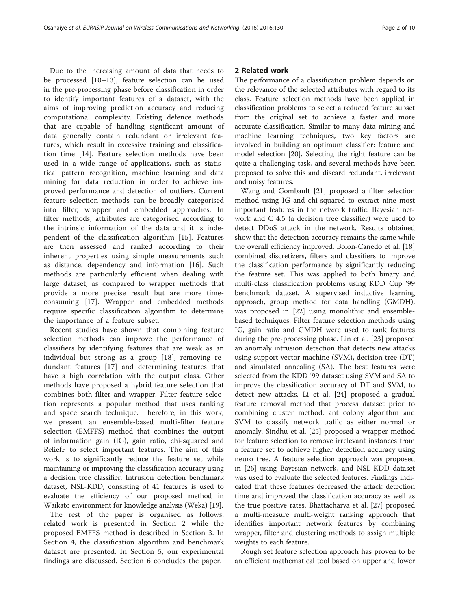Due to the increasing amount of data that needs to be processed [[10](#page-9-0)–[13](#page-9-0)], feature selection can be used in the pre-processing phase before classification in order to identify important features of a dataset, with the aims of improving prediction accuracy and reducing computational complexity. Existing defence methods that are capable of handling significant amount of data generally contain redundant or irrelevant features, which result in excessive training and classification time [[14\]](#page-9-0). Feature selection methods have been used in a wide range of applications, such as statistical pattern recognition, machine learning and data mining for data reduction in order to achieve improved performance and detection of outliers. Current feature selection methods can be broadly categorised into filter, wrapper and embedded approaches. In filter methods, attributes are categorised according to the intrinsic information of the data and it is independent of the classification algorithm [[15\]](#page-9-0). Features are then assessed and ranked according to their inherent properties using simple measurements such as distance, dependency and information [[16\]](#page-9-0). Such methods are particularly efficient when dealing with large dataset, as compared to wrapper methods that provide a more precise result but are more timeconsuming [\[17](#page-9-0)]. Wrapper and embedded methods require specific classification algorithm to determine the importance of a feature subset.

Recent studies have shown that combining feature selection methods can improve the performance of classifiers by identifying features that are weak as an individual but strong as a group [[18\]](#page-9-0), removing redundant features [[17](#page-9-0)] and determining features that have a high correlation with the output class. Other methods have proposed a hybrid feature selection that combines both filter and wrapper. Filter feature selection represents a popular method that uses ranking and space search technique. Therefore, in this work, we present an ensemble-based multi-filter feature selection (EMFFS) method that combines the output of information gain (IG), gain ratio, chi-squared and ReliefF to select important features. The aim of this work is to significantly reduce the feature set while maintaining or improving the classification accuracy using a decision tree classifier. Intrusion detection benchmark dataset, NSL-KDD, consisting of 41 features is used to evaluate the efficiency of our proposed method in Waikato environment for knowledge analysis (Weka) [[19](#page-9-0)].

The rest of the paper is organised as follows: related work is presented in Section 2 while the proposed EMFFS method is described in Section [3.](#page-2-0) In Section [4,](#page-4-0) the classification algorithm and benchmark dataset are presented. In Section [5](#page-5-0), our experimental findings are discussed. Section [6](#page-8-0) concludes the paper.

#### 2 Related work

The performance of a classification problem depends on the relevance of the selected attributes with regard to its class. Feature selection methods have been applied in classification problems to select a reduced feature subset from the original set to achieve a faster and more accurate classification. Similar to many data mining and machine learning techniques, two key factors are involved in building an optimum classifier: feature and model selection [[20](#page-9-0)]. Selecting the right feature can be quite a challenging task, and several methods have been proposed to solve this and discard redundant, irrelevant and noisy features.

Wang and Gombault [\[21\]](#page-9-0) proposed a filter selection method using IG and chi-squared to extract nine most important features in the network traffic. Bayesian network and C 4.5 (a decision tree classifier) were used to detect DDoS attack in the network. Results obtained show that the detection accuracy remains the same while the overall efficiency improved. Bolon-Canedo et al. [[18](#page-9-0)] combined discretizers, filters and classifiers to improve the classification performance by significantly reducing the feature set. This was applied to both binary and multi-class classification problems using KDD Cup '99 benchmark dataset. A supervised inductive learning approach, group method for data handling (GMDH), was proposed in [\[22](#page-9-0)] using monolithic and ensemblebased techniques. Filter feature selection methods using IG, gain ratio and GMDH were used to rank features during the pre-processing phase. Lin et al. [[23\]](#page-9-0) proposed an anomaly intrusion detection that detects new attacks using support vector machine (SVM), decision tree (DT) and simulated annealing (SA). The best features were selected from the KDD '99 dataset using SVM and SA to improve the classification accuracy of DT and SVM, to detect new attacks. Li et al. [[24\]](#page-9-0) proposed a gradual feature removal method that process dataset prior to combining cluster method, ant colony algorithm and SVM to classify network traffic as either normal or anomaly. Sindhu et al. [\[25](#page-9-0)] proposed a wrapper method for feature selection to remove irrelevant instances from a feature set to achieve higher detection accuracy using neuro tree. A feature selection approach was proposed in [\[26](#page-9-0)] using Bayesian network, and NSL-KDD dataset was used to evaluate the selected features. Findings indicated that these features decreased the attack detection time and improved the classification accuracy as well as the true positive rates. Bhattacharya et al. [\[27](#page-9-0)] proposed a multi-measure multi-weight ranking approach that identifies important network features by combining wrapper, filter and clustering methods to assign multiple weights to each feature.

Rough set feature selection approach has proven to be an efficient mathematical tool based on upper and lower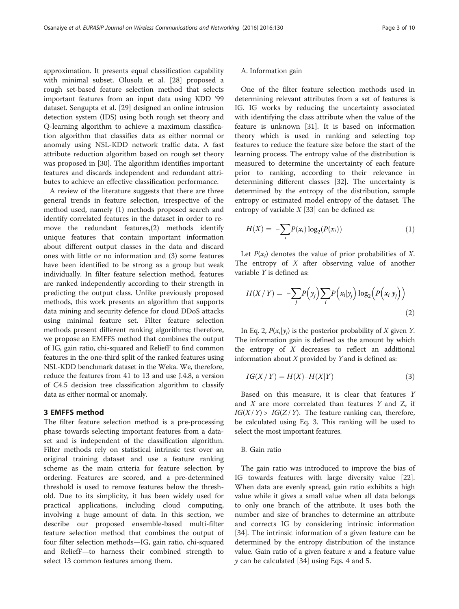<span id="page-2-0"></span>approximation. It presents equal classification capability with minimal subset. Olusola et al. [\[28](#page-9-0)] proposed a rough set-based feature selection method that selects important features from an input data using KDD '99 dataset. Sengupta et al. [\[29](#page-9-0)] designed an online intrusion detection system (IDS) using both rough set theory and Q-learning algorithm to achieve a maximum classification algorithm that classifies data as either normal or anomaly using NSL-KDD network traffic data. A fast attribute reduction algorithm based on rough set theory was proposed in [[30\]](#page-9-0). The algorithm identifies important features and discards independent and redundant attributes to achieve an effective classification performance.

A review of the literature suggests that there are three general trends in feature selection, irrespective of the method used, namely (1) methods proposed search and identify correlated features in the dataset in order to remove the redundant features,(2) methods identify unique features that contain important information about different output classes in the data and discard ones with little or no information and (3) some features have been identified to be strong as a group but weak individually. In filter feature selection method, features are ranked independently according to their strength in predicting the output class. Unlike previously proposed methods, this work presents an algorithm that supports data mining and security defence for cloud DDoS attacks using minimal feature set. Filter feature selection methods present different ranking algorithms; therefore, we propose an EMFFS method that combines the output of IG, gain ratio, chi-squared and ReliefF to find common features in the one-third split of the ranked features using NSL-KDD benchmark dataset in the Weka. We, therefore, reduce the features from 41 to 13 and use J.4.8, a version of C4.5 decision tree classification algorithm to classify data as either normal or anomaly.

## 3 EMFFS method

The filter feature selection method is a pre-processing phase towards selecting important features from a dataset and is independent of the classification algorithm. Filter methods rely on statistical intrinsic test over an original training dataset and use a feature ranking scheme as the main criteria for feature selection by ordering. Features are scored, and a pre-determined threshold is used to remove features below the threshold. Due to its simplicity, it has been widely used for practical applications, including cloud computing, involving a huge amount of data. In this section, we describe our proposed ensemble-based multi-filter feature selection method that combines the output of four filter selection methods—IG, gain ratio, chi-squared and ReliefF—to harness their combined strength to select 13 common features among them.

#### A. Information gain

One of the filter feature selection methods used in determining relevant attributes from a set of features is IG. IG works by reducing the uncertainty associated with identifying the class attribute when the value of the feature is unknown [[31\]](#page-9-0). It is based on information theory which is used in ranking and selecting top features to reduce the feature size before the start of the learning process. The entropy value of the distribution is measured to determine the uncertainty of each feature prior to ranking, according to their relevance in determining different classes [[32\]](#page-9-0). The uncertainty is determined by the entropy of the distribution, sample entropy or estimated model entropy of the dataset. The entropy of variable  $X$  [\[33](#page-9-0)] can be defined as:

$$
H(X) = -\sum_{i} P(x_i) \log_2(P(x_i))
$$
\n(1)

Let  $P(x_i)$  denotes the value of prior probabilities of X. The entropy of  $X$  after observing value of another variable Y is defined as:

$$
H(X/Y) = -\sum_{j} P(y_j) \sum_{i} P(x_i|y_j) \log_2(P(x_i|y_j))
$$
\n(2)

In Eq. 2,  $P(x_i|y_i)$  is the posterior probability of X given Y. The information gain is defined as the amount by which the entropy of  $X$  decreases to reflect an additional information about  $X$  provided by  $Y$  and is defined as:

$$
IG(X/Y) = H(X) - H(X|Y)
$$
\n(3)

Based on this measure, it is clear that features Y and  $X$  are more correlated than features  $Y$  and  $Z$ , if  $IG(X/Y) > IG(Z/Y)$ . The feature ranking can, therefore, be calculated using Eq. 3. This ranking will be used to select the most important features.

# B. Gain ratio

The gain ratio was introduced to improve the bias of IG towards features with large diversity value [\[22](#page-9-0)]. When data are evenly spread, gain ratio exhibits a high value while it gives a small value when all data belongs to only one branch of the attribute. It uses both the number and size of branches to determine an attribute and corrects IG by considering intrinsic information [[34\]](#page-9-0). The intrinsic information of a given feature can be determined by the entropy distribution of the instance value. Gain ratio of a given feature  $x$  and a feature value y can be calculated [[34](#page-9-0)] using Eqs. [4](#page-3-0) and [5.](#page-3-0)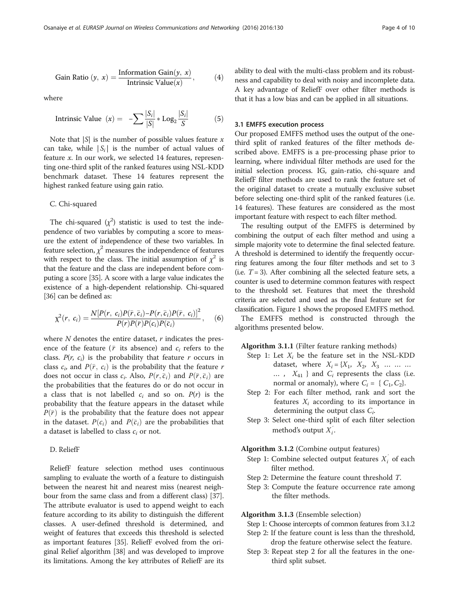<span id="page-3-0"></span>Gain Ratio 
$$
(y, x) = \frac{\text{Information Gain}(y, x)}{\text{Intrinsic Value}(x)},
$$
 (4)

where

Intrinsic Value 
$$
(x)
$$
 =  $-\sum \frac{|S_i|}{|S|} * \text{Log}_2 \frac{|S_i|}{S}$  (5)

Note that  $|S|$  is the number of possible values feature x can take, while  $|S_i|$  is the number of actual values of feature  $x$ . In our work, we selected 14 features, representing one-third split of the ranked features using NSL-KDD benchmark dataset. These 14 features represent the highest ranked feature using gain ratio.

#### C. Chi-squared

The chi-squared  $(\chi^2)$  statistic is used to test the independence of two variables by computing a score to measure the extent of independence of these two variables. In feature selection,  $\chi^2$  measures the independence of features with respect to the class. The initial assumption of  $\chi^2$  is that the feature and the class are independent before computing a score [\[35\]](#page-9-0). A score with a large value indicates the existence of a high-dependent relationship. Chi-squared [[36](#page-9-0)] can be defined as:

$$
\chi^2(r, c_i) = \frac{N[P(r, c_i)P(\bar{r}, \bar{c}_i)-P(r, \bar{c}_i)P(\bar{r}, c_i)]^2}{P(r)P(\bar{r})P(c_i)P(\bar{c}_i)}, \quad (6)
$$

where  $N$  denotes the entire dataset,  $r$  indicates the presence of the feature ( $\bar{r}$  its absence) and  $c_i$  refers to the class.  $P(r, c_i)$  is the probability that feature r occurs in class  $c_i$ , and  $P(\bar{r}, c_i)$  is the probability that the feature r does not occur in class  $c_i$ . Also,  $P(r, \bar{c}_i)$  and  $P(\bar{r}, \bar{c}_i)$  are the probabilities that the features do or do not occur in a class that is not labelled  $c_i$  and so on.  $P(r)$  is the probability that the feature appears in the dataset while  $P(\overline{r})$  is the probability that the feature does not appear in the dataset.  $P(c_i)$  and  $P(\bar{c}_i)$  are the probabilities that a dataset is labelled to class  $c_i$  or not.

#### D. ReliefF

ReliefF feature selection method uses continuous sampling to evaluate the worth of a feature to distinguish between the nearest hit and nearest miss (nearest neighbour from the same class and from a different class) [[37](#page-9-0)]. The attribute evaluator is used to append weight to each feature according to its ability to distinguish the different classes. A user-defined threshold is determined, and weight of features that exceeds this threshold is selected as important features [\[35](#page-9-0)]. ReliefF evolved from the original Relief algorithm [\[38\]](#page-9-0) and was developed to improve its limitations. Among the key attributes of ReliefF are its ability to deal with the multi-class problem and its robustness and capability to deal with noisy and incomplete data. A key advantage of ReliefF over other filter methods is that it has a low bias and can be applied in all situations.

#### 3.1 EMFFS execution process

Our proposed EMFFS method uses the output of the onethird split of ranked features of the filter methods described above. EMFFS is a pre-processing phase prior to learning, where individual filter methods are used for the initial selection process. IG, gain-ratio, chi-square and ReliefF filter methods are used to rank the feature set of the original dataset to create a mutually exclusive subset before selecting one-third split of the ranked features (i.e. 14 features). These features are considered as the most important feature with respect to each filter method.

The resulting output of the EMFFS is determined by combining the output of each filter method and using a simple majority vote to determine the final selected feature. A threshold is determined to identify the frequently occurring features among the four filter methods and set to 3 (i.e.  $T = 3$ ). After combining all the selected feature sets, a counter is used to determine common features with respect to the threshold set. Features that meet the threshold criteria are selected and used as the final feature set for classification. Figure [1](#page-4-0) shows the proposed EMFFS method.

The EMFFS method is constructed through the algorithms presented below.

#### Algorithm 3.1.1 (Filter feature ranking methods)

- Step 1: Let  $X_i$  be the feature set in the NSL-KDD dataset, where  $X_i = \{X_1, X_2, X_3 \dots \dots \dots \}$  $\ldots$ ,  $X_{41}$  } and  $C_i$  represents the class (i.e. normal or anomaly), where  $C_i = \{ C_1, C_2 \}.$
- Step 2: For each filter method, rank and sort the features  $X_i$  according to its importance in determining the output class  $C_i$ .
- Step 3: Select one-third split of each filter selection method's output  $X_i$ .

Algorithm 3.1.2 (Combine output features)

- Step 1: Combine selected output features  $X_i^{'}$  of each filter method.
- Step 2: Determine the feature count threshold T.
- Step 3: Compute the feature occurrence rate among the filter methods.

Algorithm 3.1.3 (Ensemble selection)

- Step 1: Choose intercepts of common features from 3.1.2
- Step 2: If the feature count is less than the threshold, drop the feature otherwise select the feature.
- Step 3: Repeat step 2 for all the features in the onethird split subset.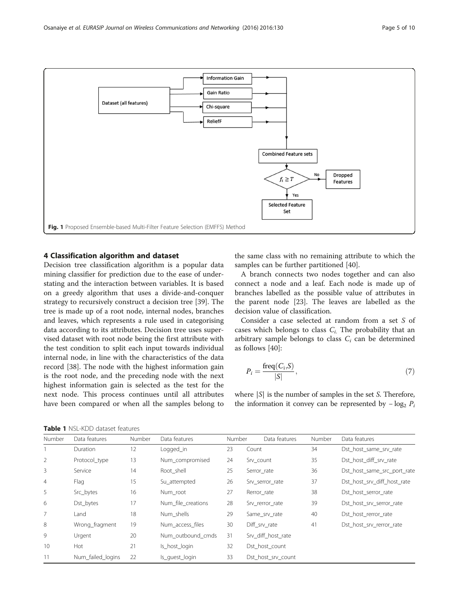<span id="page-4-0"></span>

# 4 Classification algorithm and dataset

Decision tree classification algorithm is a popular data mining classifier for prediction due to the ease of understating and the interaction between variables. It is based on a greedy algorithm that uses a divide-and-conquer strategy to recursively construct a decision tree [\[39](#page-9-0)]. The tree is made up of a root node, internal nodes, branches and leaves, which represents a rule used in categorising data according to its attributes. Decision tree uses supervised dataset with root node being the first attribute with the test condition to split each input towards individual internal node, in line with the characteristics of the data record [[38\]](#page-9-0). The node with the highest information gain is the root node, and the preceding node with the next highest information gain is selected as the test for the next node. This process continues until all attributes have been compared or when all the samples belong to the same class with no remaining attribute to which the samples can be further partitioned [[40\]](#page-9-0).

A branch connects two nodes together and can also connect a node and a leaf. Each node is made up of branches labelled as the possible value of attributes in the parent node [\[23](#page-9-0)]. The leaves are labelled as the decision value of classification.

Consider a case selected at random from a set S of cases which belongs to class  $C_i$ . The probability that an arbitrary sample belongs to class  $C_i$  can be determined as follows [[40\]](#page-9-0):

$$
P_i = \frac{\text{freq}(C_i, S)}{|S|},\tag{7}
$$

where  $|S|$  is the number of samples in the set *S*. Therefore, the information it convey can be represented by  $-\log_2 P_i$ 

Table 1 NSL-KDD dataset features

| Number         | Data features     | Number | Data features      | Number | Data features      | Number | Data features               |
|----------------|-------------------|--------|--------------------|--------|--------------------|--------|-----------------------------|
|                | Duration          | 12     | Logged_in          | 23     | Count              | 34     | Dst_host_same_srv_rate      |
| 2              | Protocol_type     | 13     | Num compromised    | 24     | Srv count          | 35     | Dst host diff srv rate      |
| 3              | Service           | 14     | Root shell         | 25     | Serror rate        | 36     | Dst_host_same_src_port_rate |
| $\overline{4}$ | Flag              | 15     | Su attempted       | 26     | Srv serror rate    | 37     | Dst_host_srv_diff_host_rate |
| 5              | Src_bytes         | 16     | Num root           | 27     | Rerror rate        | 38     | Dst_host_serror_rate        |
| 6              | Dst_bytes         | 17     | Num file creations | 28     | Srv rerror rate    | 39     | Dst_host_srv_serror_rate    |
| $\overline{7}$ | Land              | 18     | Num shells         | 29     | Same srv rate      | 40     | Dst host rerror rate        |
| 8              | Wrong_fragment    | 19     | Num access files   | 30     | Diff_srv_rate      | 41     | Dst_host_srv_rerror_rate    |
| 9              | Urgent            | 20     | Num outbound cmds  | 31     | Srv diff host rate |        |                             |
| 10             | Hot               | 21     | Is_host_login      | 32     | Dst host count     |        |                             |
| 11             | Num failed logins | 22     | ls_quest_login     | 33     | Dst host srv count |        |                             |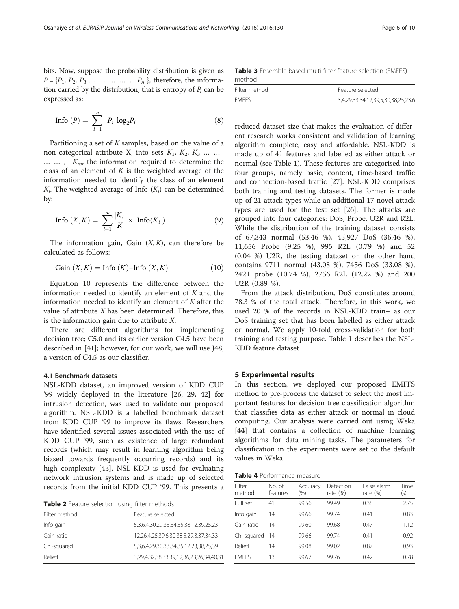<span id="page-5-0"></span>bits. Now, suppose the probability distribution is given as  $P = \{P_1, P_2, P_3, \dots, P_m\}$ , therefore, the information carried by the distribution, that is entropy of P, can be expressed as:

Info 
$$
(P) = \sum_{i=1}^{n} -P_i \log_2 P_i
$$
 (8)

Partitioning a set of  $K$  samples, based on the value of a non-categorical attribute X, into sets  $K_1, K_2, K_3, \ldots$  $\ldots$   $\ldots$  ,  $K_{nn}$ , the information required to determine the class of an element of  $K$  is the weighted average of the information needed to identify the class of an element  $K_i$ . The weighted average of Info  $(K_i)$  can be determined by:

$$
\text{Info}\left(X,K\right) = \sum_{i=1}^{m} \frac{|K_i|}{K} \times \text{Info}(K_i) \tag{9}
$$

The information gain, Gain  $(X, K)$ , can therefore be calculated as follows:

$$
Gain(X, K) = Info(K) - Info(X, K)
$$
\n(10)

Equation 10 represents the difference between the information needed to identify an element of  $K$  and the information needed to identify an element of  $K$  after the value of attribute  $X$  has been determined. Therefore, this is the information gain due to attribute X.

There are different algorithms for implementing decision tree; C5.0 and its earlier version C4.5 have been described in [[41](#page-9-0)]; however, for our work, we will use J48, a version of C4.5 as our classifier.

#### 4.1 Benchmark datasets

NSL-KDD dataset, an improved version of KDD CUP '99 widely deployed in the literature [\[26](#page-9-0), [29, 42](#page-9-0)] for intrusion detection, was used to validate our proposed algorithm. NSL-KDD is a labelled benchmark dataset from KDD CUP '99 to improve its flaws. Researchers have identified several issues associated with the use of KDD CUP '99, such as existence of large redundant records (which may result in learning algorithm being biased towards frequently occurring records) and its high complexity [[43\]](#page-9-0). NSL-KDD is used for evaluating network intrusion systems and is made up of selected records from the initial KDD CUP '99. This presents a

Table 2 Feature selection using filter methods

| Filter method | Feature selected                        |
|---------------|-----------------------------------------|
| Info gain     | 5,3,6,4,30,29,33,34,35,38,12,39,25,23   |
| Gain ratio    | 12,26,4,25,39,6,30,38,5,29,3,37,34,33   |
| Chi-squared   | 5,3,6,4,29,30,33,34,35,12,23,38,25,39   |
| ReliefF       | 3,29,4,32,38,33,39,12,36,23,26,34,40,31 |

Table 3 Ensemble-based multi-filter feature selection (EMFFS) method

| Filter method | Feature selected                   |
|---------------|------------------------------------|
| <b>EMFES</b>  | 3,4,29,33,34,12,39,5,30,38,25,23,6 |

reduced dataset size that makes the evaluation of different research works consistent and validation of learning algorithm complete, easy and affordable. NSL-KDD is made up of 41 features and labelled as either attack or normal (see Table [1](#page-4-0)). These features are categorised into four groups, namely basic, content, time-based traffic and connection-based traffic [\[27](#page-9-0)]. NSL-KDD comprises both training and testing datasets. The former is made up of 21 attack types while an additional 17 novel attack types are used for the test set [[26](#page-9-0)]. The attacks are grouped into four categories: DoS, Probe, U2R and R2L. While the distribution of the training dataset consists of 67,343 normal (53.46 %), 45,927 DoS (36.46 %), 11,656 Probe (9.25 %), 995 R2L (0.79 %) and 52 (0.04 %) U2R, the testing dataset on the other hand contains 9711 normal (43.08 %), 7456 DoS (33.08 %), 2421 probe (10.74 %), 2756 R2L (12.22 %) and 200 U2R (0.89 %).

From the attack distribution, DoS constitutes around 78.3 % of the total attack. Therefore, in this work, we used 20 % of the records in NSL-KDD train+ as our DoS training set that has been labelled as either attack or normal. We apply 10-fold cross-validation for both training and testing purpose. Table [1](#page-4-0) describes the NSL-KDD feature dataset.

#### 5 Experimental results

In this section, we deployed our proposed EMFFS method to pre-process the dataset to select the most important features for decision tree classification algorithm that classifies data as either attack or normal in cloud computing. Our analysis were carried out using Weka [[44\]](#page-9-0) that contains a collection of machine learning algorithms for data mining tasks. The parameters for classification in the experiments were set to the default values in Weka.

| Filter<br>method | No. of<br>features | Accuracy<br>$(\% )$ | Detection<br>rate $(%)$ | False alarm<br>rate $(\%)$ | Time<br>(s) |
|------------------|--------------------|---------------------|-------------------------|----------------------------|-------------|
| Full set         | 41                 | 99.56               | 99.49                   | 0.38                       | 2.75        |
| Info gain        | 14                 | 99.66               | 99.74                   | 0.41                       | 0.83        |
| Gain ratio       | 14                 | 99.60               | 99.68                   | 0.47                       | 1.12        |
| Chi-squared      | - 14               | 99.66               | 99.74                   | 0.41                       | 0.92        |
| ReliefF          | 14                 | 99.08               | 99.02                   | 0.87                       | 0.93        |
| <b>FMFFS</b>     | 13                 | 99.67               | 99.76                   | 0.42                       | 0.78        |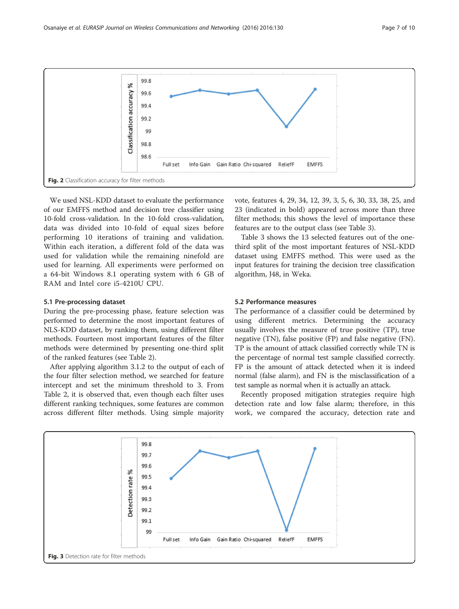<span id="page-6-0"></span>

We used NSL-KDD dataset to evaluate the performance of our EMFFS method and decision tree classifier using 10-fold cross-validation. In the 10-fold cross-validation, data was divided into 10-fold of equal sizes before performing 10 iterations of training and validation. Within each iteration, a different fold of the data was used for validation while the remaining ninefold are used for learning. All experiments were performed on a 64-bit Windows 8.1 operating system with 6 GB of RAM and Intel core i5-4210U CPU.

#### 5.1 Pre-processing dataset

During the pre-processing phase, feature selection was performed to determine the most important features of NLS-KDD dataset, by ranking them, using different filter methods. Fourteen most important features of the filter methods were determined by presenting one-third split of the ranked features (see Table [2](#page-5-0)).

After applying algorithm 3.1.2 to the output of each of the four filter selection method, we searched for feature intercept and set the minimum threshold to 3. From Table [2](#page-5-0), it is observed that, even though each filter uses different ranking techniques, some features are common across different filter methods. Using simple majority

vote, features 4, 29, 34, 12, 39, 3, 5, 6, 30, 33, 38, 25, and 23 (indicated in bold) appeared across more than three filter methods; this shows the level of importance these features are to the output class (see Table [3](#page-5-0)).

Table [3](#page-5-0) shows the 13 selected features out of the onethird split of the most important features of NSL-KDD dataset using EMFFS method. This were used as the input features for training the decision tree classification algorithm, J48, in Weka.

#### 5.2 Performance measures

The performance of a classifier could be determined by using different metrics. Determining the accuracy usually involves the measure of true positive (TP), true negative (TN), false positive (FP) and false negative (FN). TP is the amount of attack classified correctly while TN is the percentage of normal test sample classified correctly. FP is the amount of attack detected when it is indeed normal (false alarm), and FN is the misclassification of a test sample as normal when it is actually an attack.

Recently proposed mitigation strategies require high detection rate and low false alarm; therefore, in this work, we compared the accuracy, detection rate and

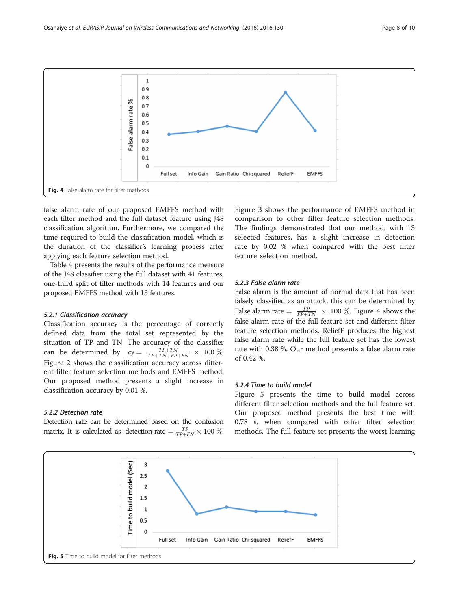

false alarm rate of our proposed EMFFS method with each filter method and the full dataset feature using J48 classification algorithm. Furthermore, we compared the time required to build the classification model, which is the duration of the classifier's learning process after applying each feature selection method.

Table [4](#page-5-0) presents the results of the performance measure of the J48 classifier using the full dataset with 41 features, one-third split of filter methods with 14 features and our proposed EMFFS method with 13 features.

#### 5.2.1 Classification accuracy

Classification accuracy is the percentage of correctly defined data from the total set represented by the situation of TP and TN. The accuracy of the classifier can be determined by  $cy = \frac{TP+TN}{TP+TN+FP+FN} \times 100\%$ . Figure [2](#page-6-0) shows the classification accuracy across different filter feature selection methods and EMFFS method. Our proposed method presents a slight increase in classification accuracy by 0.01 %.

## 5.2.2 Detection rate

Detection rate can be determined based on the confusion matrix. It is calculated as detection rate  $= \frac{TP}{TP+FN} \times 100\%$ .

Figure [3](#page-6-0) shows the performance of EMFFS method in comparison to other filter feature selection methods. The findings demonstrated that our method, with 13 selected features, has a slight increase in detection rate by 0.02 % when compared with the best filter feature selection method.

# 5.2.3 False alarm rate

False alarm is the amount of normal data that has been falsely classified as an attack, this can be determined by False alarm rate  $=$   $\frac{FP}{FP+TN} \times 100\%$ . Figure 4 shows the false alarm rate of the full feature set and different filter feature selection methods. ReliefF produces the highest false alarm rate while the full feature set has the lowest rate with 0.38 %. Our method presents a false alarm rate of 0.42 %.

#### 5.2.4 Time to build model

Figure 5 presents the time to build model across different filter selection methods and the full feature set. Our proposed method presents the best time with 0.78 s, when compared with other filter selection methods. The full feature set presents the worst learning

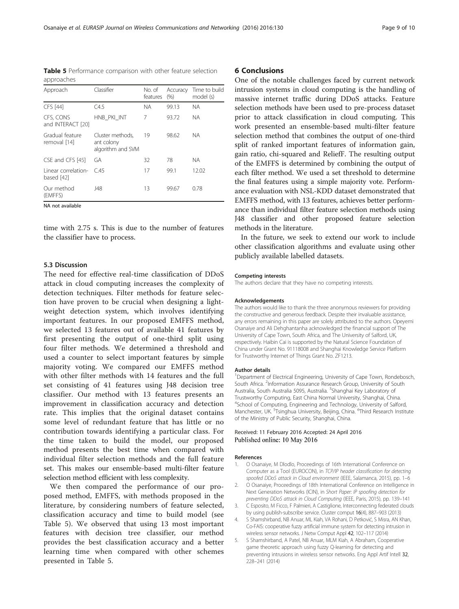<span id="page-8-0"></span>Table 5 Performance comparison with other feature selection approaches

| Approach                          | Classifier                                          | No. of<br>features | Accuracy<br>(% ) | Time to build<br>model (s) |
|-----------------------------------|-----------------------------------------------------|--------------------|------------------|----------------------------|
| CFS [44]                          | C4.5                                                | <b>NA</b>          | 99.13            | <b>NA</b>                  |
| CFS, CONS<br>and INTERACT [20]    | HNB PKI INT                                         | 7                  | 93.72            | <b>NA</b>                  |
| Gradual feature<br>removal [14]   | Cluster methods.<br>ant colony<br>algorithm and SVM | 19                 | 98.62            | NА                         |
| CSE and CFS [45]                  | GA                                                  | 32                 | 78               | <b>NA</b>                  |
| Linear correlation-<br>based [42] | C.45                                                | 17                 | 99.1             | 12.02                      |
| Our method<br>(EMFFS)             | 48                                                  | 13                 | 99.67            | 0.78                       |

NA not available

time with 2.75 s. This is due to the number of features the classifier have to process.

#### 5.3 Discussion

The need for effective real-time classification of DDoS attack in cloud computing increases the complexity of detection techniques. Filter methods for feature selection have proven to be crucial when designing a lightweight detection system, which involves identifying important features. In our proposed EMFFS method, we selected 13 features out of available 41 features by first presenting the output of one-third split using four filter methods. We determined a threshold and used a counter to select important features by simple majority voting. We compared our EMFFS method with other filter methods with 14 features and the full set consisting of 41 features using J48 decision tree classifier. Our method with 13 features presents an improvement in classification accuracy and detection rate. This implies that the original dataset contains some level of redundant feature that has little or no contribution towards identifying a particular class. For the time taken to build the model, our proposed method presents the best time when compared with individual filter selection methods and the full feature set. This makes our ensemble-based multi-filter feature selection method efficient with less complexity.

We then compared the performance of our proposed method, EMFFS, with methods proposed in the literature, by considering numbers of feature selected, classification accuracy and time to build model (see Table 5). We observed that using 13 most important features with decision tree classifier, our method provides the best classification accuracy and a better learning time when compared with other schemes presented in Table 5.

#### 6 Conclusions

One of the notable challenges faced by current network intrusion systems in cloud computing is the handling of massive internet traffic during DDoS attacks. Feature selection methods have been used to pre-process dataset prior to attack classification in cloud computing. This work presented an ensemble-based multi-filter feature selection method that combines the output of one-third split of ranked important features of information gain, gain ratio, chi-squared and ReliefF. The resulting output of the EMFFS is determined by combining the output of each filter method. We used a set threshold to determine the final features using a simple majority vote. Performance evaluation with NSL-KDD dataset demonstrated that EMFFS method, with 13 features, achieves better performance than individual filter feature selection methods using J48 classifier and other proposed feature selection methods in the literature.

In the future, we seek to extend our work to include other classification algorithms and evaluate using other publicly available labelled datasets.

#### Competing interests

The authors declare that they have no competing interests.

#### Acknowledgements

The authors would like to thank the three anonymous reviewers for providing the constructive and generous feedback. Despite their invaluable assistance, any errors remaining in this paper are solely attributed to the authors. Opeyemi Osanaiye and Ali Dehghantanha acknowledged the financial support of The University of Cape Town, South Africa, and The University of Salford, UK, respectively. Haibin Cai is supported by the Natural Science Foundation of China under Grant No. 91118008 and Shanghai Knowledge Service Platform for Trustworthy Internet of Things Grant No. ZF1213.

#### Author details

<sup>1</sup>Department of Electrical Engineering, University of Cape Town, Rondebosch, South Africa. <sup>2</sup>Information Assurance Research Group, University of South Australia, South Australia 5095, Australia. <sup>3</sup>Shanghai Key Laboratory of Trustworthy Computing, East China Normal University, Shanghai, China. 4 School of Computing, Engineering and Technology, University of Salford, Manchester, UK. <sup>5</sup>Tsinghua University, Beijing, China. <sup>6</sup>Third Research Institute of the Ministry of Public Security, Shanghai, China.

#### Received: 11 February 2016 Accepted: 24 April 2016 Published online: 10 May 2016

#### References

- 1. O Osanaiye, M Dlodlo, Proceedings of 16th International Conference on Computer as a Tool (EUROCON), in TCP/IP header classification for detecting spoofed DDoS attack in Cloud environment (IEEE, Salamanca, 2015), pp. 1–6
- 2. O Osanaiye, Proceedings of 18th International Conference on Intelligence in Next Generation Networks (ICIN), in Short Paper: IP spoofing detection for preventing DDoS attack in Cloud Computing (IEEE, Paris, 2015), pp. 139–141
- 3. C Esposito, M Ficco, F Palmieri, A Castiglione, Interconnecting federated clouds by using publish-subscribe service. Cluster comput 16(4), 887–903 (2013)
- 4. S Shamshirband, NB Anuar, ML Kiah, VA Rohani, D Petković, S Misra, AN Khan, Co-FAIS: cooperative fuzzy artificial immune system for detecting intrusion in wireless sensor networks. J Netw Comput Appl 42, 102–117 (2014)
- 5. S Shamshirband, A Patel, NB Anuar, MLM Kiah, A Abraham, Cooperative game theoretic approach using fuzzy Q-learning for detecting and preventing intrusions in wireless sensor networks. Eng Appl Artif Intell 32, 228–241 (2014)